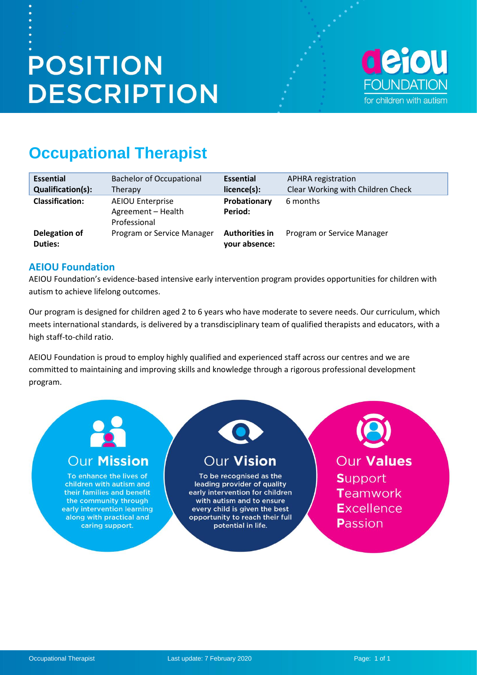# **POSITION DESCRIPTION**



## **Occupational Therapist**

| <b>Essential</b>         | <b>Bachelor of Occupational</b>                               | <b>Essential</b>                       | APHRA registration                |
|--------------------------|---------------------------------------------------------------|----------------------------------------|-----------------------------------|
| <b>Qualification(s):</b> | Therapy                                                       | licence(s):                            | Clear Working with Children Check |
| <b>Classification:</b>   | <b>AEIOU Enterprise</b><br>Agreement - Health<br>Professional | Probationary<br>Period:                | 6 months                          |
| Delegation of<br>Duties: | Program or Service Manager                                    | <b>Authorities in</b><br>your absence: | Program or Service Manager        |

#### **AEIOU Foundation**

AEIOU Foundation's evidence-based intensive early intervention program provides opportunities for children with autism to achieve lifelong outcomes.

Our program is designed for children aged 2 to 6 years who have moderate to severe needs. Our curriculum, which meets international standards, is delivered by a transdisciplinary team of qualified therapists and educators, with a high staff-to-child ratio.

AEIOU Foundation is proud to employ highly qualified and experienced staff across our centres and we are committed to maintaining and improving skills and knowledge through a rigorous professional development program.

## **Our Mission**

To enhance the lives of children with autism and their families and benefit the community through early intervention learning along with practical and caring support.

## **Our Vision**

To be recognised as the leading provider of quality early intervention for children with autism and to ensure every child is given the best opportunity to reach their full potential in life.

Our Values **Support** Teamwork **Excellence** Passion